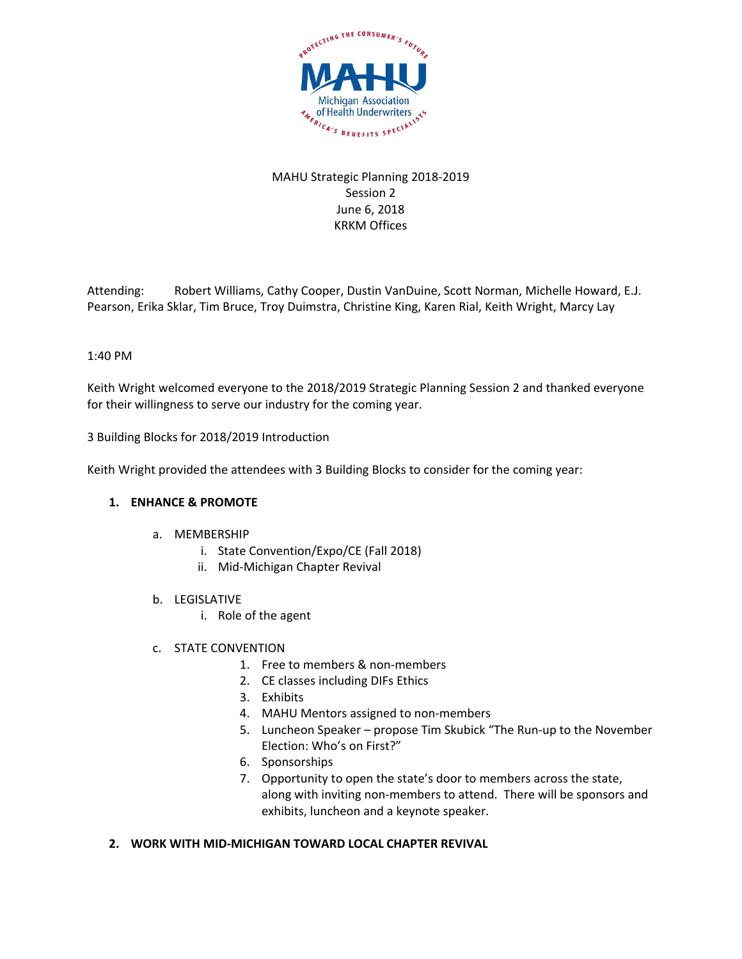

# MAHU Strategic Planning 2018‐2019 Session 2 June 6, 2018 KRKM Offices

Attending: Robert Williams, Cathy Cooper, Dustin VanDuine, Scott Norman, Michelle Howard, E.J. Pearson, Erika Sklar, Tim Bruce, Troy Duimstra, Christine King, Karen Rial, Keith Wright, Marcy Lay

### 1:40 PM

Keith Wright welcomed everyone to the 2018/2019 Strategic Planning Session 2 and thanked everyone for their willingness to serve our industry for the coming year.

3 Building Blocks for 2018/2019 Introduction

Keith Wright provided the attendees with 3 Building Blocks to consider for the coming year:

## **1. ENHANCE & PROMOTE**

- a. MEMBERSHIP
	- i. State Convention/Expo/CE (Fall 2018)
	- ii. Mid‐Michigan Chapter Revival
- b. LEGISLATIVE
	- i. Role of the agent
- c. STATE CONVENTION
	- 1. Free to members & non‐members
	- 2. CE classes including DIFs Ethics
	- 3. Exhibits
	- 4. MAHU Mentors assigned to non-members
	- 5. Luncheon Speaker propose Tim Skubick "The Run-up to the November Election: Who's on First?"
	- 6. Sponsorships
	- 7. Opportunity to open the state's door to members across the state, along with inviting non‐members to attend. There will be sponsors and exhibits, luncheon and a keynote speaker.

### **2. WORK WITH MID‐MICHIGAN TOWARD LOCAL CHAPTER REVIVAL**